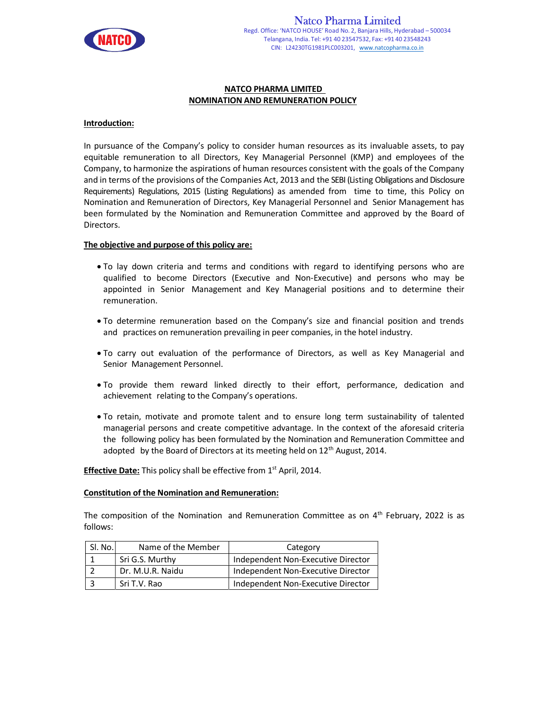

#### NATCO PHARMA LIMITED NOMINATION AND REMUNERATION POLICY

### Introduction:

In pursuance of the Company's policy to consider human resources as its invaluable assets, to pay equitable remuneration to all Directors, Key Managerial Personnel (KMP) and employees of the Company, to harmonize the aspirations of human resources consistent with the goals of the Company and in terms of the provisions of the Companies Act, 2013 and the SEBI (Listing Obligations and Disclosure Requirements) Regulations, 2015 (Listing Regulations) as amended from time to time, this Policy on Nomination and Remuneration of Directors, Key Managerial Personnel and Senior Management has been formulated by the Nomination and Remuneration Committee and approved by the Board of Directors.

#### The objective and purpose of this policy are:

- To lay down criteria and terms and conditions with regard to identifying persons who are qualified to become Directors (Executive and Non-Executive) and persons who may be appointed in Senior Management and Key Managerial positions and to determine their remuneration.
- To determine remuneration based on the Company's size and financial position and trends and practices on remuneration prevailing in peer companies, in the hotel industry.
- To carry out evaluation of the performance of Directors, as well as Key Managerial and Senior Management Personnel.
- To provide them reward linked directly to their effort, performance, dedication and achievement relating to the Company's operations.
- To retain, motivate and promote talent and to ensure long term sustainability of talented managerial persons and create competitive advantage. In the context of the aforesaid criteria the following policy has been formulated by the Nomination and Remuneration Committee and adopted by the Board of Directors at its meeting held on  $12<sup>th</sup>$  August, 2014.

Effective Date: This policy shall be effective from 1<sup>st</sup> April, 2014.

#### Constitution of the Nomination and Remuneration:

The composition of the Nomination and Remuneration Committee as on  $4<sup>th</sup>$  February, 2022 is as follows:

| SI. No. | Name of the Member | Category                           |
|---------|--------------------|------------------------------------|
|         | Sri G.S. Murthy    | Independent Non-Executive Director |
|         | Dr. M.U.R. Naidu   | Independent Non-Executive Director |
|         | Sri T.V. Rao       | Independent Non-Executive Director |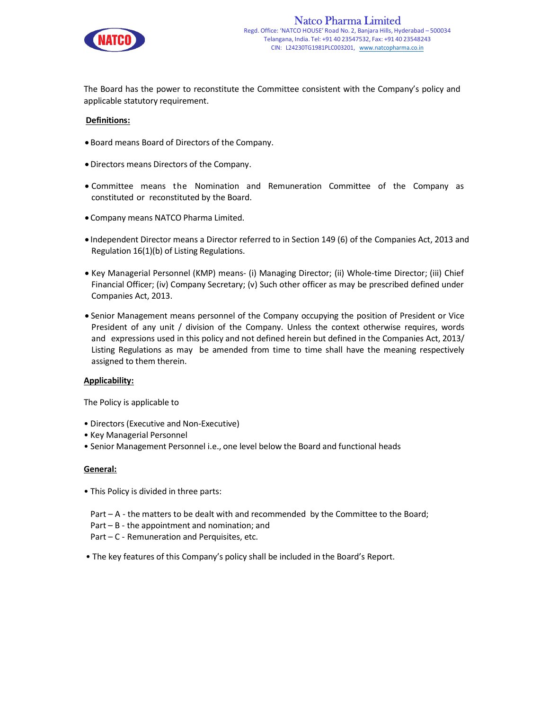

The Board has the power to reconstitute the Committee consistent with the Company's policy and applicable statutory requirement.

### Definitions:

- Board means Board of Directors of the Company.
- Directors means Directors of the Company.
- Committee means the Nomination and Remuneration Committee of the Company as constituted or reconstituted by the Board.
- Company means NATCO Pharma Limited.
- Independent Director means a Director referred to in Section 149 (6) of the Companies Act, 2013 and Regulation 16(1)(b) of Listing Regulations.
- Key Managerial Personnel (KMP) means- (i) Managing Director; (ii) Whole-time Director; (iii) Chief Financial Officer; (iv) Company Secretary; (v) Such other officer as may be prescribed defined under Companies Act, 2013.
- Senior Management means personnel of the Company occupying the position of President or Vice President of any unit / division of the Company. Unless the context otherwise requires, words and expressions used in this policy and not defined herein but defined in the Companies Act, 2013/ Listing Regulations as may be amended from time to time shall have the meaning respectively assigned to them therein.

#### Applicability:

The Policy is applicable to

- Directors (Executive and Non-Executive)
- Key Managerial Personnel
- Senior Management Personnel i.e., one level below the Board and functional heads

#### General:

- This Policy is divided in three parts:
- Part A the matters to be dealt with and recommended by the Committee to the Board;
- Part B the appointment and nomination; and
- Part C Remuneration and Perquisites, etc.
- The key features of this Company's policy shall be included in the Board's Report.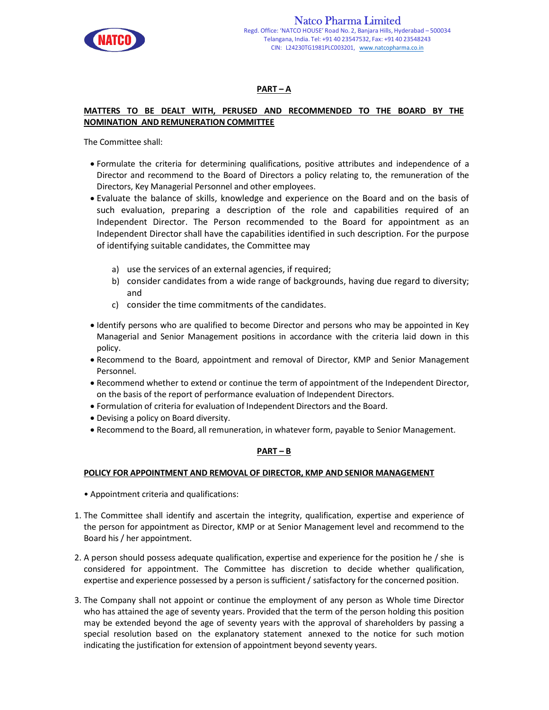

# PART – A

## MATTERS TO BE DEALT WITH, PERUSED AND RECOMMENDED TO THE BOARD BY THE NOMINATION AND REMUNERATION COMMITTEE

The Committee shall:

- Formulate the criteria for determining qualifications, positive attributes and independence of a Director and recommend to the Board of Directors a policy relating to, the remuneration of the Directors, Key Managerial Personnel and other employees.
- Evaluate the balance of skills, knowledge and experience on the Board and on the basis of such evaluation, preparing a description of the role and capabilities required of an Independent Director. The Person recommended to the Board for appointment as an Independent Director shall have the capabilities identified in such description. For the purpose of identifying suitable candidates, the Committee may
	- a) use the services of an external agencies, if required;
	- b) consider candidates from a wide range of backgrounds, having due regard to diversity; and
	- c) consider the time commitments of the candidates.
- Identify persons who are qualified to become Director and persons who may be appointed in Key Managerial and Senior Management positions in accordance with the criteria laid down in this policy.
- Recommend to the Board, appointment and removal of Director, KMP and Senior Management Personnel.
- Recommend whether to extend or continue the term of appointment of the Independent Director, on the basis of the report of performance evaluation of Independent Directors.
- Formulation of criteria for evaluation of Independent Directors and the Board.
- Devising a policy on Board diversity.
- Recommend to the Board, all remuneration, in whatever form, payable to Senior Management.

## PART – B

## POLICY FOR APPOINTMENT AND REMOVAL OF DIRECTOR, KMP AND SENIOR MANAGEMENT

- Appointment criteria and qualifications:
- 1. The Committee shall identify and ascertain the integrity, qualification, expertise and experience of the person for appointment as Director, KMP or at Senior Management level and recommend to the Board his / her appointment.
- 2. A person should possess adequate qualification, expertise and experience for the position he / she is considered for appointment. The Committee has discretion to decide whether qualification, expertise and experience possessed by a person is sufficient / satisfactory for the concerned position.
- 3. The Company shall not appoint or continue the employment of any person as Whole time Director who has attained the age of seventy years. Provided that the term of the person holding this position may be extended beyond the age of seventy years with the approval of shareholders by passing a special resolution based on the explanatory statement annexed to the notice for such motion indicating the justification for extension of appointment beyond seventy years.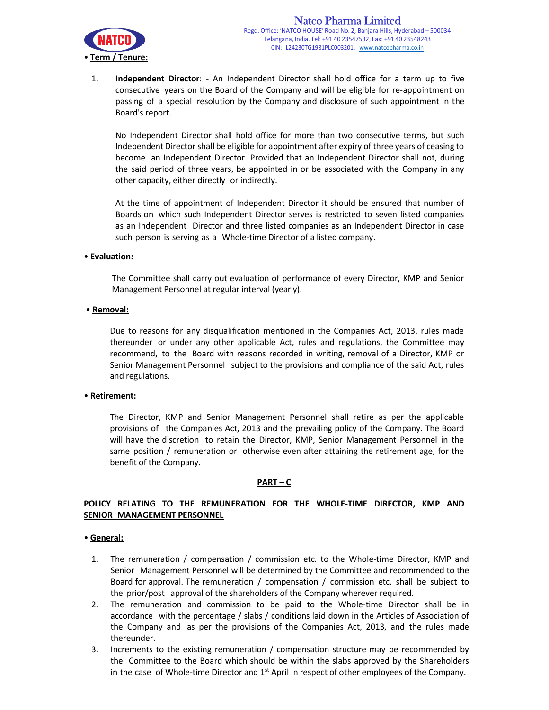

1. Independent Director: - An Independent Director shall hold office for a term up to five consecutive years on the Board of the Company and will be eligible for re-appointment on passing of a special resolution by the Company and disclosure of such appointment in the Board's report.

 No Independent Director shall hold office for more than two consecutive terms, but such Independent Director shall be eligible for appointment after expiry of three years of ceasing to become an Independent Director. Provided that an Independent Director shall not, during the said period of three years, be appointed in or be associated with the Company in any other capacity, either directly or indirectly.

 At the time of appointment of Independent Director it should be ensured that number of Boards on which such Independent Director serves is restricted to seven listed companies as an Independent Director and three listed companies as an Independent Director in case such person is serving as a Whole-time Director of a listed company.

## • Evaluation:

The Committee shall carry out evaluation of performance of every Director, KMP and Senior Management Personnel at regular interval (yearly).

#### • Removal:

Due to reasons for any disqualification mentioned in the Companies Act, 2013, rules made thereunder or under any other applicable Act, rules and regulations, the Committee may recommend, to the Board with reasons recorded in writing, removal of a Director, KMP or Senior Management Personnel subject to the provisions and compliance of the said Act, rules and regulations.

#### • Retirement:

The Director, KMP and Senior Management Personnel shall retire as per the applicable provisions of the Companies Act, 2013 and the prevailing policy of the Company. The Board will have the discretion to retain the Director, KMP, Senior Management Personnel in the same position / remuneration or otherwise even after attaining the retirement age, for the benefit of the Company.

#### PART – C

## POLICY RELATING TO THE REMUNERATION FOR THE WHOLE-TIME DIRECTOR, KMP AND SENIOR MANAGEMENT PERSONNEL

#### • General:

- 1. The remuneration / compensation / commission etc. to the Whole-time Director, KMP and Senior Management Personnel will be determined by the Committee and recommended to the Board for approval. The remuneration / compensation / commission etc. shall be subject to the prior/post approval of the shareholders of the Company wherever required.
- 2. The remuneration and commission to be paid to the Whole-time Director shall be in accordance with the percentage / slabs / conditions laid down in the Articles of Association of the Company and as per the provisions of the Companies Act, 2013, and the rules made thereunder.
- 3. Increments to the existing remuneration / compensation structure may be recommended by the Committee to the Board which should be within the slabs approved by the Shareholders in the case of Whole-time Director and  $1<sup>st</sup>$  April in respect of other employees of the Company.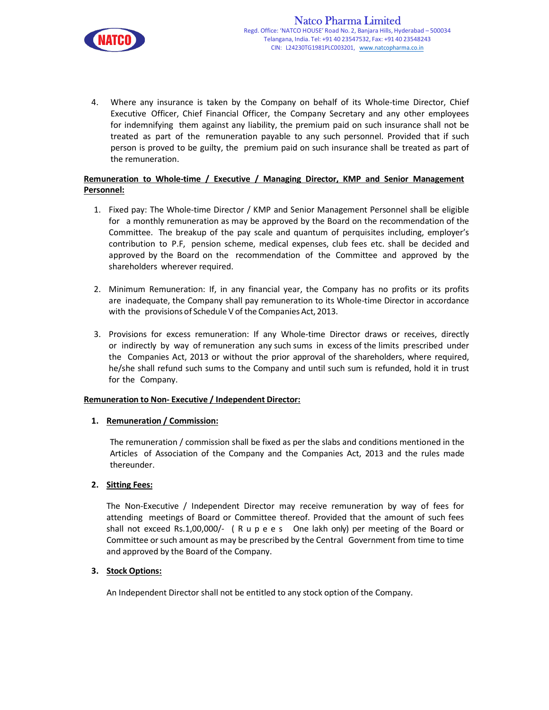

4. Where any insurance is taken by the Company on behalf of its Whole-time Director, Chief Executive Officer, Chief Financial Officer, the Company Secretary and any other employees for indemnifying them against any liability, the premium paid on such insurance shall not be treated as part of the remuneration payable to any such personnel. Provided that if such person is proved to be guilty, the premium paid on such insurance shall be treated as part of the remuneration.

## Remuneration to Whole-time / Executive / Managing Director, KMP and Senior Management Personnel:

- 1. Fixed pay: The Whole-time Director / KMP and Senior Management Personnel shall be eligible for a monthly remuneration as may be approved by the Board on the recommendation of the Committee. The breakup of the pay scale and quantum of perquisites including, employer's contribution to P.F, pension scheme, medical expenses, club fees etc. shall be decided and approved by the Board on the recommendation of the Committee and approved by the shareholders wherever required.
- 2. Minimum Remuneration: If, in any financial year, the Company has no profits or its profits are inadequate, the Company shall pay remuneration to its Whole-time Director in accordance with the provisions of Schedule V of the Companies Act, 2013.
- 3. Provisions for excess remuneration: If any Whole-time Director draws or receives, directly or indirectly by way of remuneration any such sums in excess of the limits prescribed under the Companies Act, 2013 or without the prior approval of the shareholders, where required, he/she shall refund such sums to the Company and until such sum is refunded, hold it in trust for the Company.

## Remuneration to Non- Executive / Independent Director:

## 1. Remuneration / Commission:

The remuneration / commission shall be fixed as per the slabs and conditions mentioned in the Articles of Association of the Company and the Companies Act, 2013 and the rules made thereunder.

## 2. Sitting Fees:

The Non-Executive / Independent Director may receive remuneration by way of fees for attending meetings of Board or Committee thereof. Provided that the amount of such fees shall not exceed Rs.1,00,000/- ( R u p e e s One lakh only) per meeting of the Board or Committee or such amount as may be prescribed by the Central Government from time to time and approved by the Board of the Company.

## 3. Stock Options:

An Independent Director shall not be entitled to any stock option of the Company.